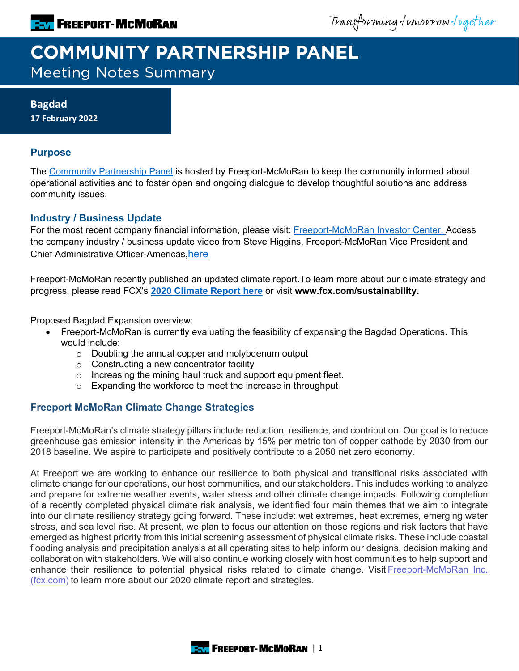Transforming tomorrow together

# **COMMUNITY PARTNERSHIP PANEL**

**Meeting Notes Summary** 

**Bagdad 17 February 2022**

### **Purpose**

The [Community Partnership Panel](https://www.freeportinmycommunity.com/stakeholders/stakeholder-engagement-) is hosted by Freeport-McMoRan to keep the community informed about operational activities and to foster open and ongoing dialogue to develop thoughtful solutions and address community issues.

### **Industry / Business Update**

For the most recent company financial information, please visit: [Freeport-McMoRan Investor Center.](http://investors.fcx.com/investors/default.aspx) Access the company industry / business update video from Steve Higgins, Freeport-McMoRan Vice President and Chief Administrative Officer-Americas[,here](https://fmi.hosted.panopto.com/Panopto/Pages/Viewer.aspx?id=ddb8f262-b718-47d5-861b-ae2b015a79a0)

Freeport-McMoRan recently published an updated climate report.To learn more about our climate strategy and progress, please read FCX's **[2020 Climate Report here](https://www.fcx.com/sites/fcx/files/documents/sustainability/2020-Climate-Report.pdf)** or visit **www.fcx.com/sustainability.**

Proposed Bagdad Expansion overview:

- Freeport-McMoRan is currently evaluating the feasibility of expansing the Bagdad Operations. This would include:
	- $\circ$  Doubling the annual copper and molybdenum output
	- o Constructing a new concentrator facility
	- o Increasing the mining haul truck and support equipment fleet.
	- o Expanding the workforce to meet the increase in throughput

### **Freeport McMoRan Climate Change Strategies**

Freeport-McMoRan's climate strategy pillars include reduction, resilience, and contribution. Our goal is to reduce greenhouse gas emission intensity in the Americas by 15% per metric ton of copper cathode by 2030 from our 2018 baseline. We aspire to participate and positively contribute to a 2050 net zero economy.

At Freeport we are working to enhance our resilience to both physical and transitional risks associated with climate change for our operations, our host communities, and our stakeholders. This includes working to analyze and prepare for extreme weather events, water stress and other climate change impacts. Following completion of a recently completed physical climate risk analysis, we identified four main themes that we aim to integrate into our climate resiliency strategy going forward. These include: wet extremes, heat extremes, emerging water stress, and sea level rise. At present, we plan to focus our attention on those regions and risk factors that have emerged as highest priority from this initial screening assessment of physical climate risks. These include coastal flooding analysis and precipitation analysis at all operating sites to help inform our designs, decision making and collaboration with stakeholders. We will also continue working closely with host communities to help support and enhance their resilience to potential physical risks related to climate change. Visit Freeport-McMoRan Inc. [\(fcx.com\)](https://www.fcx.com/sites/fcx/files/documents/sustainability/2020-Climate-Report.pdf) to learn more about our 2020 climate report and strategies.